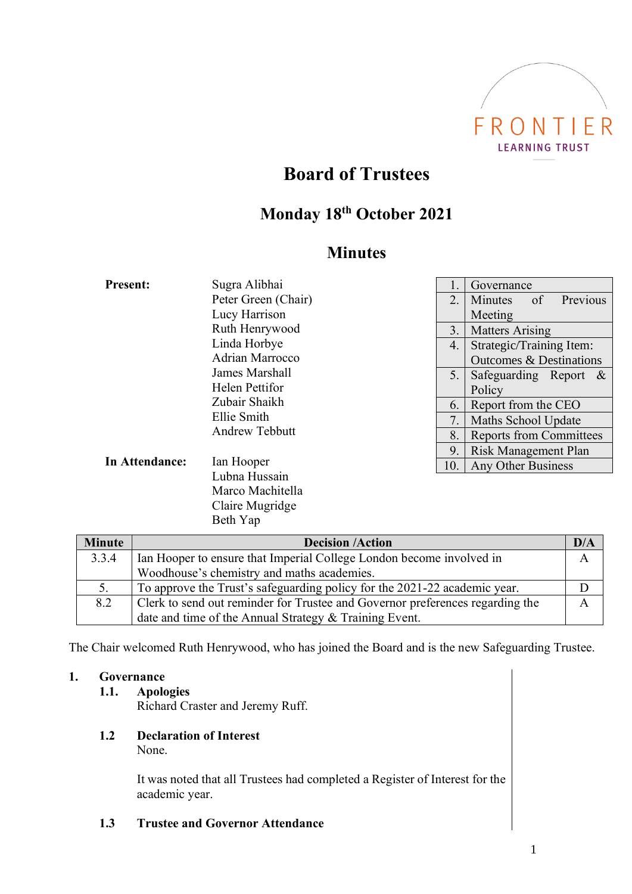

# **Board of Trustees**

# **Monday 18 th October 2021**

# **Minutes**

| <b>Present:</b> | Sugra Alibhai                        |     | Governance                         |
|-----------------|--------------------------------------|-----|------------------------------------|
|                 | Peter Green (Chair)                  | 2.  | Previous<br>of<br>Minutes          |
|                 | Lucy Harrison                        |     | Meeting                            |
|                 | Ruth Henrywood                       | 3.  | <b>Matters Arising</b>             |
|                 | Linda Horbye                         | 4.  | Strategic/Training Item:           |
|                 | Adrian Marrocco                      |     | <b>Outcomes &amp; Destinations</b> |
|                 | James Marshall                       | 5.  | Safeguarding Report $\&$           |
|                 | Helen Pettifor                       |     | Policy                             |
|                 | Zubair Shaikh                        | 6.  | Report from the CEO                |
|                 | Ellie Smith<br><b>Andrew Tebbutt</b> | 7.  | Maths School Update                |
|                 |                                      | 8.  | <b>Reports from Committees</b>     |
|                 |                                      | 9   | Risk Management Plan               |
| In Attendance:  | Ian Hooper                           | 10. | Any Other Business                 |

Lubna Hussain Marco Machitella Claire Mugridge Beth Yap

| <b>Minute</b> | <b>Decision /Action</b>                                                       | D/A |
|---------------|-------------------------------------------------------------------------------|-----|
| 3.3.4         | Ian Hooper to ensure that Imperial College London become involved in          |     |
|               | Woodhouse's chemistry and maths academies.                                    |     |
| 5.            | To approve the Trust's safeguarding policy for the 2021-22 academic year.     |     |
| 8.2           | Clerk to send out reminder for Trustee and Governor preferences regarding the |     |
|               | date and time of the Annual Strategy & Training Event.                        |     |

The Chair welcomed Ruth Henrywood, who has joined the Board and is the new Safeguarding Trustee.

### **1. Governance**

### **1.1. Apologies**

Richard Craster and Jeremy Ruff.

**1.2 Declaration of Interest** None.

> It was noted that all Trustees had completed a Register of Interest for the academic year.

**1.3 Trustee and Governor Attendance**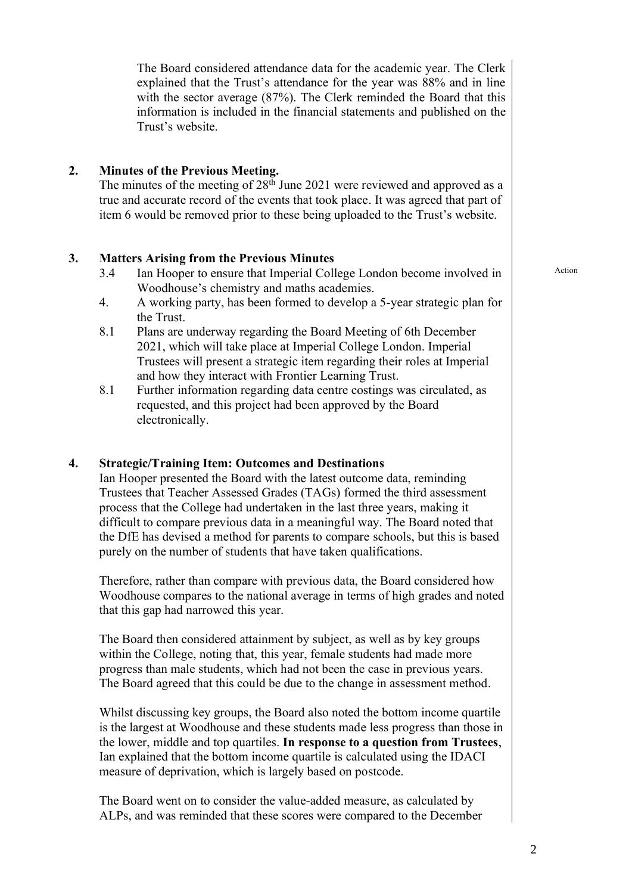The Board went on to consider the value-added measure, as calculated by ALPs, and was reminded that these scores were compared to the December

The Board considered attendance data for the academic year. The Clerk explained that the Trust's attendance for the year was 88% and in line with the sector average (87%). The Clerk reminded the Board that this information is included in the financial statements and published on the Trust's website.

# **2. Minutes of the Previous Meeting.**

The minutes of the meeting of  $28<sup>th</sup>$  June 2021 were reviewed and approved as a true and accurate record of the events that took place. It was agreed that part of item 6 would be removed prior to these being uploaded to the Trust's website.

# **3. Matters Arising from the Previous Minutes**

- 3.4 Ian Hooper to ensure that Imperial College London become involved in Woodhouse's chemistry and maths academies.
- 4. A working party, has been formed to develop a 5-year strategic plan for the Trust.
- 8.1 Plans are underway regarding the Board Meeting of 6th December 2021, which will take place at Imperial College London. Imperial Trustees will present a strategic item regarding their roles at Imperial and how they interact with Frontier Learning Trust.
- 8.1 Further information regarding data centre costings was circulated, as requested, and this project had been approved by the Board electronically.

# **4. Strategic/Training Item: Outcomes and Destinations**

Ian Hooper presented the Board with the latest outcome data, reminding Trustees that Teacher Assessed Grades (TAGs) formed the third assessment process that the College had undertaken in the last three years, making it difficult to compare previous data in a meaningful way. The Board noted that the DfE has devised a method for parents to compare schools, but this is based purely on the number of students that have taken qualifications.

Therefore, rather than compare with previous data, the Board considered how Woodhouse compares to the national average in terms of high grades and noted that this gap had narrowed this year.

The Board then considered attainment by subject, as well as by key groups within the College, noting that, this year, female students had made more progress than male students, which had not been the case in previous years. The Board agreed that this could be due to the change in assessment method.

is the largest at Woodhouse and these students made less progress than those in the lower, middle and top quartiles. **In response to a question from Trustees**, Ian explained that the bottom income quartile is calculated using the IDACI measure of deprivation, which is largely based on postcode.

Whilst discussing key groups, the Board also noted the bottom income quartile

Action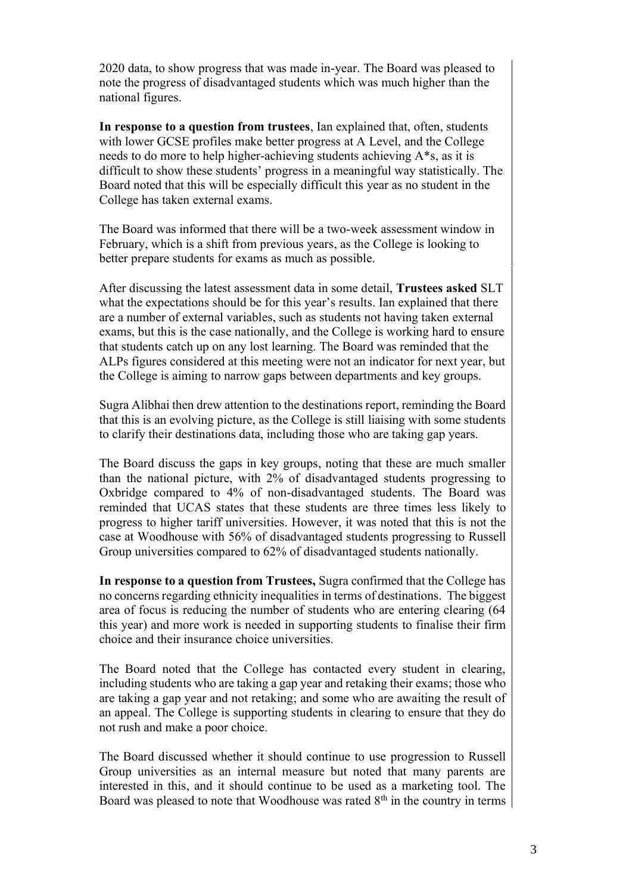2020 data, to show progress that was made in-year. The Board was pleased to note the progress of disadvantaged students which was much higher than the national figures.

**In response to a question from trustees**, Ian explained that, often, students with lower GCSE profiles make better progress at A Level, and the College needs to do more to help higher-achieving students achieving A\*s, as it is difficult to show these students' progress in a meaningful way statistically. The Board noted that this will be especially difficult this year as no student in the College has taken external exams.

The Board was informed that there will be a two-week assessment window in February, which is a shift from previous years, as the College is looking to better prepare students for exams as much as possible.

After discussing the latest assessment data in some detail, **Trustees asked** SLT what the expectations should be for this year's results. Ian explained that there are a number of external variables, such as students not having taken external exams, but this is the case nationally, and the College is working hard to ensure that students catch up on any lost learning. The Board was reminded that the ALPs figures considered at this meeting were not an indicator for next year, but the College is aiming to narrow gaps between departments and key groups.

Sugra Alibhai then drew attention to the destinations report, reminding the Board that this is an evolving picture, as the College is still liaising with some students to clarify their destinations data, including those who are taking gap years.

The Board discuss the gaps in key groups, noting that these are much smaller than the national picture, with 2% of disadvantaged students progressing to Oxbridge compared to 4% of non-disadvantaged students. The Board was reminded that UCAS states that these students are three times less likely to progress to higher tariff universities. However, it was noted that this is not the case at Woodhouse with 56% of disadvantaged students progressing to Russell Group universities compared to 62% of disadvantaged students nationally.

**In response to a question from Trustees,** Sugra confirmed that the College has no concerns regarding ethnicity inequalities in terms of destinations. The biggest area of focus is reducing the number of students who are entering clearing (64 this year) and more work is needed in supporting students to finalise their firm choice and their insurance choice universities.

The Board noted that the College has contacted every student in clearing, including students who are taking a gap year and retaking their exams; those who are taking a gap year and not retaking; and some who are awaiting the result of an appeal. The College is supporting students in clearing to ensure that they do not rush and make a poor choice.

The Board discussed whether it should continue to use progression to Russell Group universities as an internal measure but noted that many parents are interested in this, and it should continue to be used as a marketing tool. The Board was pleased to note that Woodhouse was rated  $8<sup>th</sup>$  in the country in terms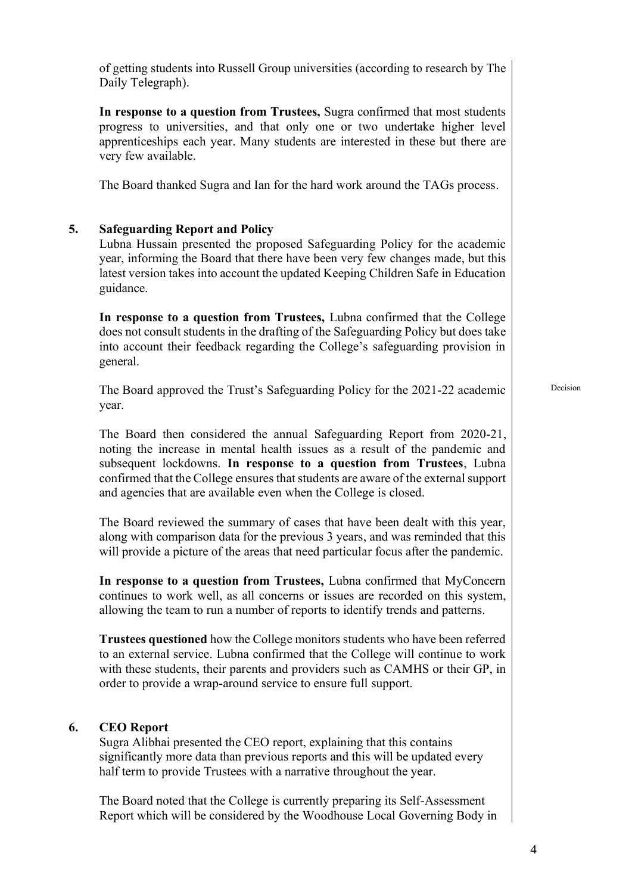of getting students into Russell Group universities (according to research by The Daily Telegraph).

**In response to a question from Trustees,** Sugra confirmed that most students progress to universities, and that only one or two undertake higher level apprenticeships each year. Many students are interested in these but there are very few available.

The Board thanked Sugra and Ian for the hard work around the TAGs process.

# **5. Safeguarding Report and Policy**

Lubna Hussain presented the proposed Safeguarding Policy for the academic year, informing the Board that there have been very few changes made, but this latest version takes into account the updated Keeping Children Safe in Education guidance.

**In response to a question from Trustees,** Lubna confirmed that the College does not consult students in the drafting of the Safeguarding Policy but does take into account their feedback regarding the College's safeguarding provision in general.

The Board approved the Trust's Safeguarding Policy for the 2021-22 academic year.

Decision

The Board then considered the annual Safeguarding Report from 2020-21, noting the increase in mental health issues as a result of the pandemic and subsequent lockdowns. **In response to a question from Trustees**, Lubna confirmed that the College ensures that students are aware of the external support and agencies that are available even when the College is closed.

The Board reviewed the summary of cases that have been dealt with this year, along with comparison data for the previous 3 years, and was reminded that this will provide a picture of the areas that need particular focus after the pandemic.

**In response to a question from Trustees,** Lubna confirmed that MyConcern continues to work well, as all concerns or issues are recorded on this system, allowing the team to run a number of reports to identify trends and patterns.

**Trustees questioned** how the College monitors students who have been referred to an external service. Lubna confirmed that the College will continue to work with these students, their parents and providers such as CAMHS or their GP, in order to provide a wrap-around service to ensure full support.

### **6. CEO Report**

Sugra Alibhai presented the CEO report, explaining that this contains significantly more data than previous reports and this will be updated every half term to provide Trustees with a narrative throughout the year.

The Board noted that the College is currently preparing its Self-Assessment Report which will be considered by the Woodhouse Local Governing Body in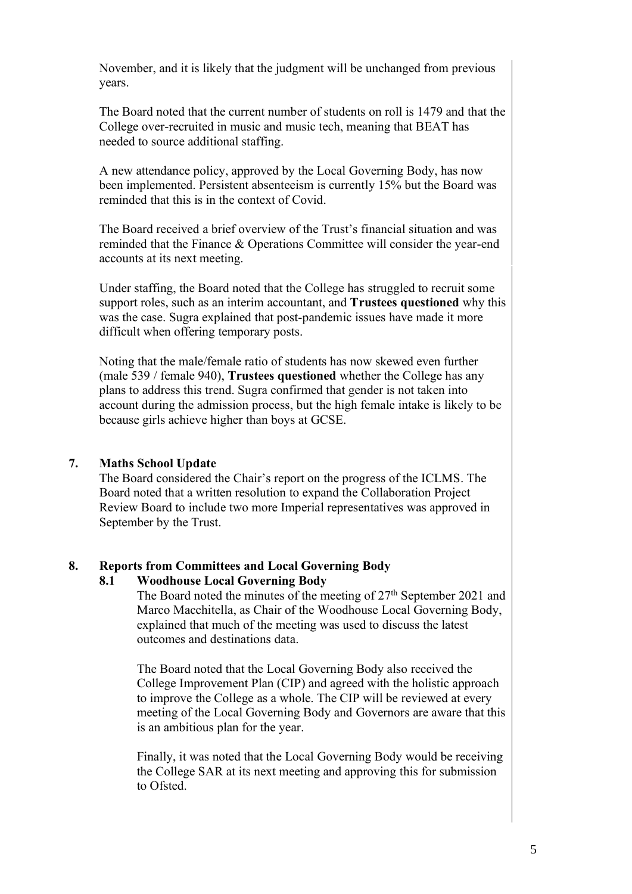November, and it is likely that the judgment will be unchanged from previous years.

The Board noted that the current number of students on roll is 1479 and that the College over-recruited in music and music tech, meaning that BEAT has needed to source additional staffing.

A new attendance policy, approved by the Local Governing Body, has now been implemented. Persistent absenteeism is currently 15% but the Board was reminded that this is in the context of Covid.

The Board received a brief overview of the Trust's financial situation and was reminded that the Finance & Operations Committee will consider the year-end accounts at its next meeting.

Under staffing, the Board noted that the College has struggled to recruit some support roles, such as an interim accountant, and **Trustees questioned** why this was the case. Sugra explained that post-pandemic issues have made it more difficult when offering temporary posts.

Noting that the male/female ratio of students has now skewed even further (male 539 / female 940), **Trustees questioned** whether the College has any plans to address this trend. Sugra confirmed that gender is not taken into account during the admission process, but the high female intake is likely to be because girls achieve higher than boys at GCSE.

### **7. Maths School Update**

The Board considered the Chair's report on the progress of the ICLMS. The Board noted that a written resolution to expand the Collaboration Project Review Board to include two more Imperial representatives was approved in September by the Trust.

# **8. Reports from Committees and Local Governing Body**

### **8.1 Woodhouse Local Governing Body**

The Board noted the minutes of the meeting of  $27<sup>th</sup>$  September 2021 and Marco Macchitella, as Chair of the Woodhouse Local Governing Body, explained that much of the meeting was used to discuss the latest outcomes and destinations data.

The Board noted that the Local Governing Body also received the College Improvement Plan (CIP) and agreed with the holistic approach to improve the College as a whole. The CIP will be reviewed at every meeting of the Local Governing Body and Governors are aware that this is an ambitious plan for the year.

Finally, it was noted that the Local Governing Body would be receiving the College SAR at its next meeting and approving this for submission to Ofsted.